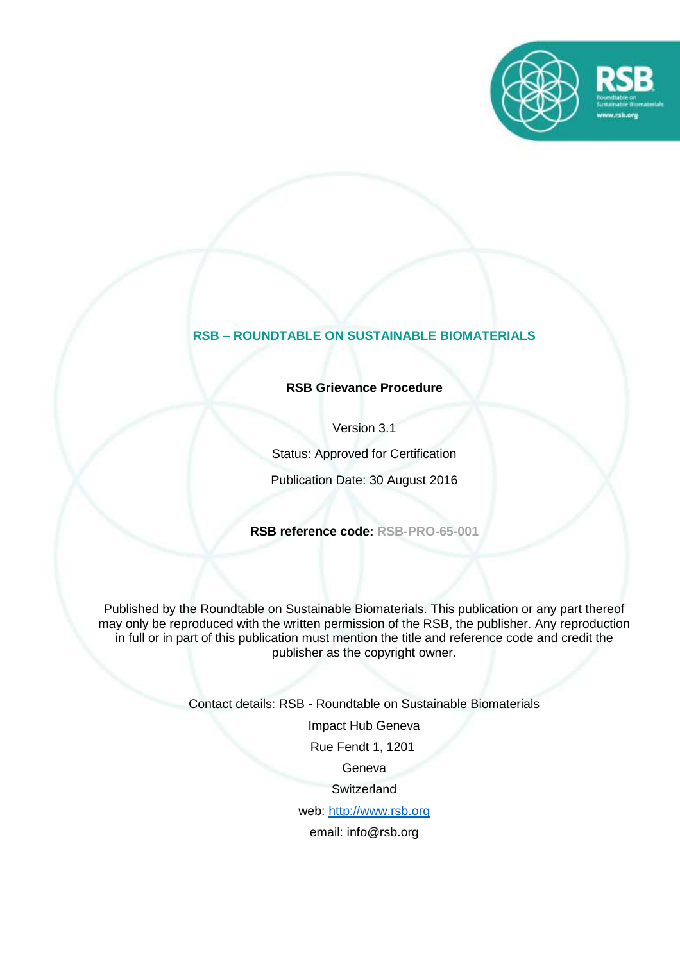

# **RSB – ROUNDTABLE ON SUSTAINABLE BIOMATERIALS**

### **RSB Grievance Procedure**

Version 3.1

Status: Approved for Certification

Publication Date: 30 August 2016

**RSB reference code: RSB-PRO-65-001**

Published by the Roundtable on Sustainable Biomaterials. This publication or any part thereof may only be reproduced with the written permission of the RSB, the publisher. Any reproduction in full or in part of this publication must mention the title and reference code and credit the publisher as the copyright owner.

Contact details: RSB - Roundtable on Sustainable Biomaterials

Impact Hub Geneva

Rue Fendt 1, 1201

Geneva

**Switzerland** 

web: [http://www.rsb.org](http://www.rsb.org/)

email: info@rsb.org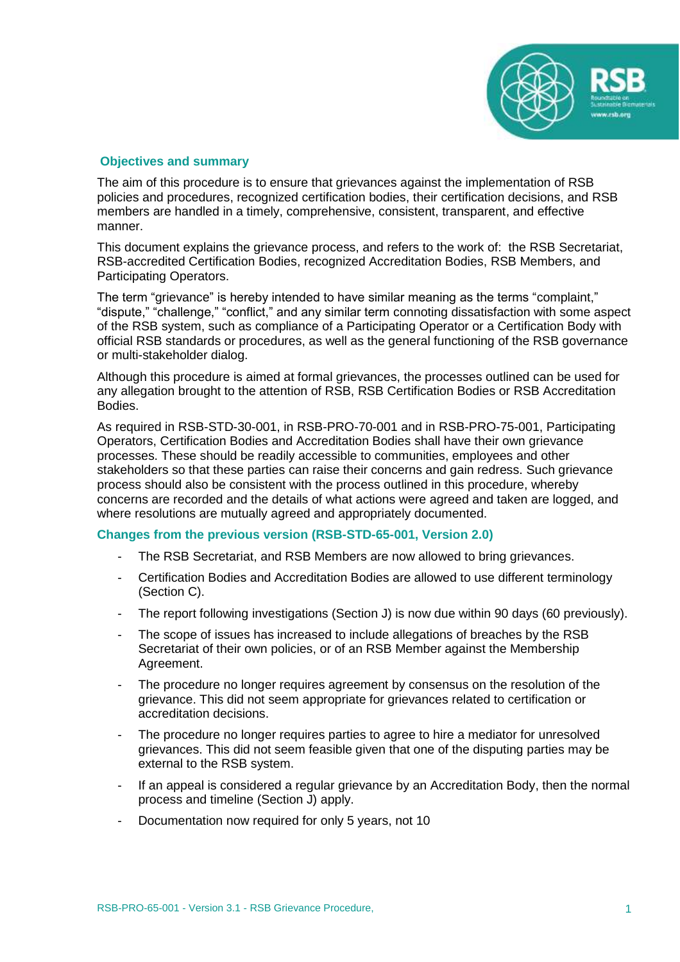

#### **Objectives and summary**

The aim of this procedure is to ensure that grievances against the implementation of RSB policies and procedures, recognized certification bodies, their certification decisions, and RSB members are handled in a timely, comprehensive, consistent, transparent, and effective manner.

This document explains the grievance process, and refers to the work of: the RSB Secretariat, RSB-accredited Certification Bodies, recognized Accreditation Bodies, RSB Members, and Participating Operators.

The term "grievance" is hereby intended to have similar meaning as the terms "complaint," "dispute," "challenge," "conflict," and any similar term connoting dissatisfaction with some aspect of the RSB system, such as compliance of a Participating Operator or a Certification Body with official RSB standards or procedures, as well as the general functioning of the RSB governance or multi-stakeholder dialog.

Although this procedure is aimed at formal grievances, the processes outlined can be used for any allegation brought to the attention of RSB, RSB Certification Bodies or RSB Accreditation Bodies.

As required in RSB-STD-30-001, in RSB-PRO-70-001 and in RSB-PRO-75-001, Participating Operators, Certification Bodies and Accreditation Bodies shall have their own grievance processes. These should be readily accessible to communities, employees and other stakeholders so that these parties can raise their concerns and gain redress. Such grievance process should also be consistent with the process outlined in this procedure, whereby concerns are recorded and the details of what actions were agreed and taken are logged, and where resolutions are mutually agreed and appropriately documented.

### **Changes from the previous version (RSB-STD-65-001, Version 2.0)**

- The RSB Secretariat, and RSB Members are now allowed to bring grievances.
- Certification Bodies and Accreditation Bodies are allowed to use different terminology (Section C).
- The report following investigations (Section J) is now due within 90 days (60 previously).
- The scope of issues has increased to include allegations of breaches by the RSB Secretariat of their own policies, or of an RSB Member against the Membership Agreement.
- The procedure no longer requires agreement by consensus on the resolution of the grievance. This did not seem appropriate for grievances related to certification or accreditation decisions.
- The procedure no longer requires parties to agree to hire a mediator for unresolved grievances. This did not seem feasible given that one of the disputing parties may be external to the RSB system.
- If an appeal is considered a regular grievance by an Accreditation Body, then the normal process and timeline (Section J) apply.
- Documentation now required for only 5 years, not 10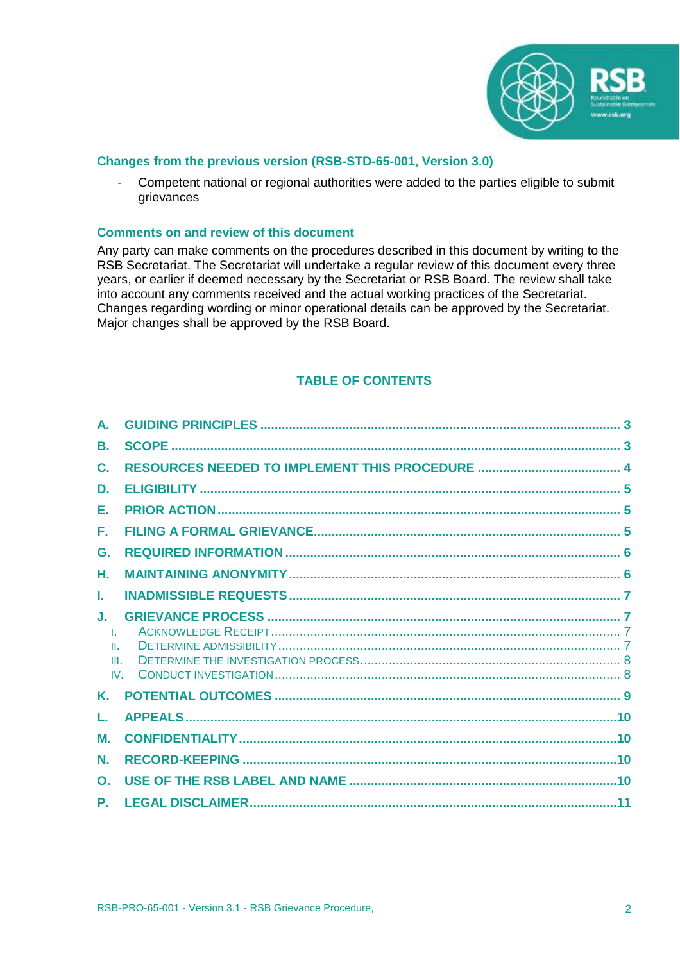

### **Changes from the previous version (RSB-STD-65-001, Version 3.0)**

- Competent national or regional authorities were added to the parties eligible to submit grievances

#### **Comments on and review of this document**

Any party can make comments on the procedures described in this document by writing to the RSB Secretariat. The Secretariat will undertake a regular review of this document every three years, or earlier if deemed necessary by the Secretariat or RSB Board. The review shall take into account any comments received and the actual working practices of the Secretariat. Changes regarding wording or minor operational details can be approved by the Secretariat. Major changes shall be approved by the RSB Board.

### **TABLE OF CONTENTS**

| А.               |  |
|------------------|--|
| В.               |  |
| C.               |  |
| D.               |  |
| Е.               |  |
| Е.               |  |
| G.               |  |
| Η.               |  |
| L.               |  |
| J.               |  |
| $\pm$            |  |
| H.               |  |
| III.<br>$IV_{-}$ |  |
| K.               |  |
| L.               |  |
| М.               |  |
| N.               |  |
| $\mathbf{O}$ .   |  |
| P.               |  |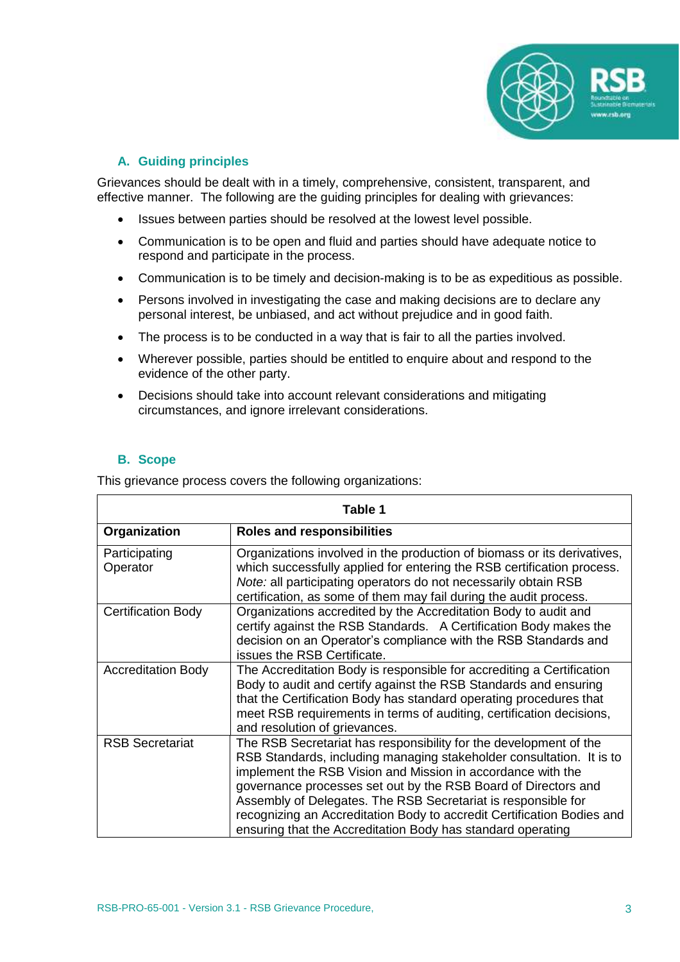

# **A. Guiding principles**

<span id="page-3-0"></span>Grievances should be dealt with in a timely, comprehensive, consistent, transparent, and effective manner. The following are the guiding principles for dealing with grievances:

- Issues between parties should be resolved at the lowest level possible.
- Communication is to be open and fluid and parties should have adequate notice to respond and participate in the process.
- Communication is to be timely and decision-making is to be as expeditious as possible.
- Persons involved in investigating the case and making decisions are to declare any personal interest, be unbiased, and act without prejudice and in good faith.
- The process is to be conducted in a way that is fair to all the parties involved.
- Wherever possible, parties should be entitled to enquire about and respond to the evidence of the other party.
- Decisions should take into account relevant considerations and mitigating circumstances, and ignore irrelevant considerations.

### <span id="page-3-1"></span>**B. Scope**

This grievance process covers the following organizations:

| Table 1                   |                                                                                                                                                                                                                                                                                                                                                                                                                                                                                      |  |  |
|---------------------------|--------------------------------------------------------------------------------------------------------------------------------------------------------------------------------------------------------------------------------------------------------------------------------------------------------------------------------------------------------------------------------------------------------------------------------------------------------------------------------------|--|--|
| Organization              | <b>Roles and responsibilities</b>                                                                                                                                                                                                                                                                                                                                                                                                                                                    |  |  |
| Participating<br>Operator | Organizations involved in the production of biomass or its derivatives,<br>which successfully applied for entering the RSB certification process.<br>Note: all participating operators do not necessarily obtain RSB<br>certification, as some of them may fail during the audit process.                                                                                                                                                                                            |  |  |
| <b>Certification Body</b> | Organizations accredited by the Accreditation Body to audit and<br>certify against the RSB Standards. A Certification Body makes the<br>decision on an Operator's compliance with the RSB Standards and<br>issues the RSB Certificate.                                                                                                                                                                                                                                               |  |  |
| <b>Accreditation Body</b> | The Accreditation Body is responsible for accrediting a Certification<br>Body to audit and certify against the RSB Standards and ensuring<br>that the Certification Body has standard operating procedures that<br>meet RSB requirements in terms of auditing, certification decisions,<br>and resolution of grievances.                                                                                                                                                             |  |  |
| <b>RSB Secretariat</b>    | The RSB Secretariat has responsibility for the development of the<br>RSB Standards, including managing stakeholder consultation. It is to<br>implement the RSB Vision and Mission in accordance with the<br>governance processes set out by the RSB Board of Directors and<br>Assembly of Delegates. The RSB Secretariat is responsible for<br>recognizing an Accreditation Body to accredit Certification Bodies and<br>ensuring that the Accreditation Body has standard operating |  |  |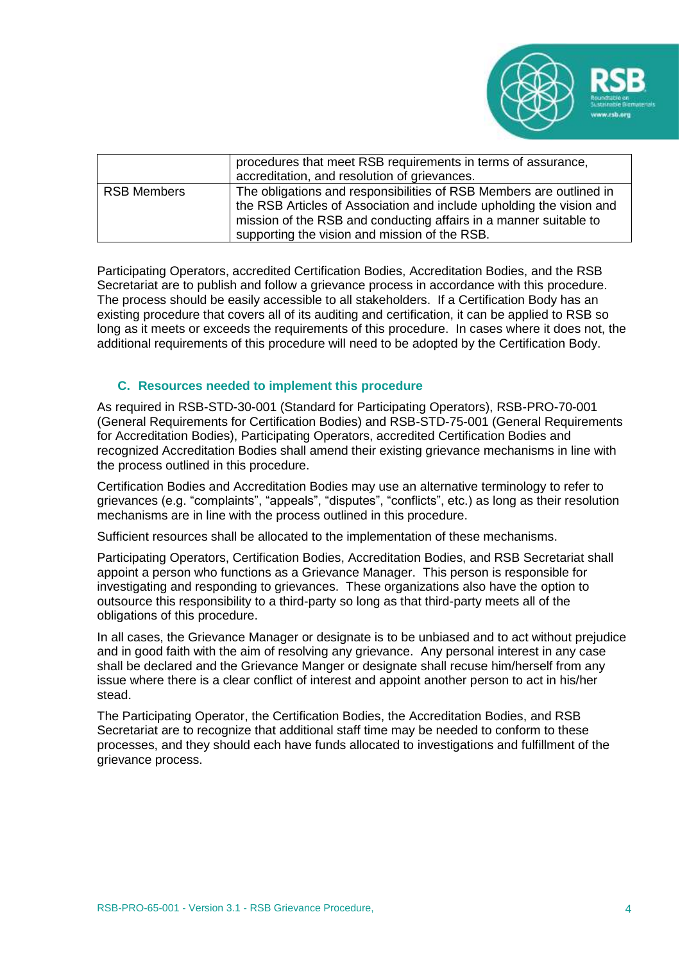

|                    | procedures that meet RSB requirements in terms of assurance,<br>accreditation, and resolution of grievances.                                                                                                                                                      |
|--------------------|-------------------------------------------------------------------------------------------------------------------------------------------------------------------------------------------------------------------------------------------------------------------|
| <b>RSB Members</b> | The obligations and responsibilities of RSB Members are outlined in<br>the RSB Articles of Association and include upholding the vision and<br>mission of the RSB and conducting affairs in a manner suitable to<br>supporting the vision and mission of the RSB. |

Participating Operators, accredited Certification Bodies, Accreditation Bodies, and the RSB Secretariat are to publish and follow a grievance process in accordance with this procedure. The process should be easily accessible to all stakeholders. If a Certification Body has an existing procedure that covers all of its auditing and certification, it can be applied to RSB so long as it meets or exceeds the requirements of this procedure. In cases where it does not, the additional requirements of this procedure will need to be adopted by the Certification Body.

### **C. Resources needed to implement this procedure**

<span id="page-4-0"></span>As required in RSB-STD-30-001 (Standard for Participating Operators), RSB-PRO-70-001 (General Requirements for Certification Bodies) and RSB-STD-75-001 (General Requirements for Accreditation Bodies), Participating Operators, accredited Certification Bodies and recognized Accreditation Bodies shall amend their existing grievance mechanisms in line with the process outlined in this procedure.

Certification Bodies and Accreditation Bodies may use an alternative terminology to refer to grievances (e.g. "complaints", "appeals", "disputes", "conflicts", etc.) as long as their resolution mechanisms are in line with the process outlined in this procedure.

Sufficient resources shall be allocated to the implementation of these mechanisms.

Participating Operators, Certification Bodies, Accreditation Bodies, and RSB Secretariat shall appoint a person who functions as a Grievance Manager. This person is responsible for investigating and responding to grievances. These organizations also have the option to outsource this responsibility to a third-party so long as that third-party meets all of the obligations of this procedure.

In all cases, the Grievance Manager or designate is to be unbiased and to act without prejudice and in good faith with the aim of resolving any grievance. Any personal interest in any case shall be declared and the Grievance Manger or designate shall recuse him/herself from any issue where there is a clear conflict of interest and appoint another person to act in his/her stead.

The Participating Operator, the Certification Bodies, the Accreditation Bodies, and RSB Secretariat are to recognize that additional staff time may be needed to conform to these processes, and they should each have funds allocated to investigations and fulfillment of the grievance process.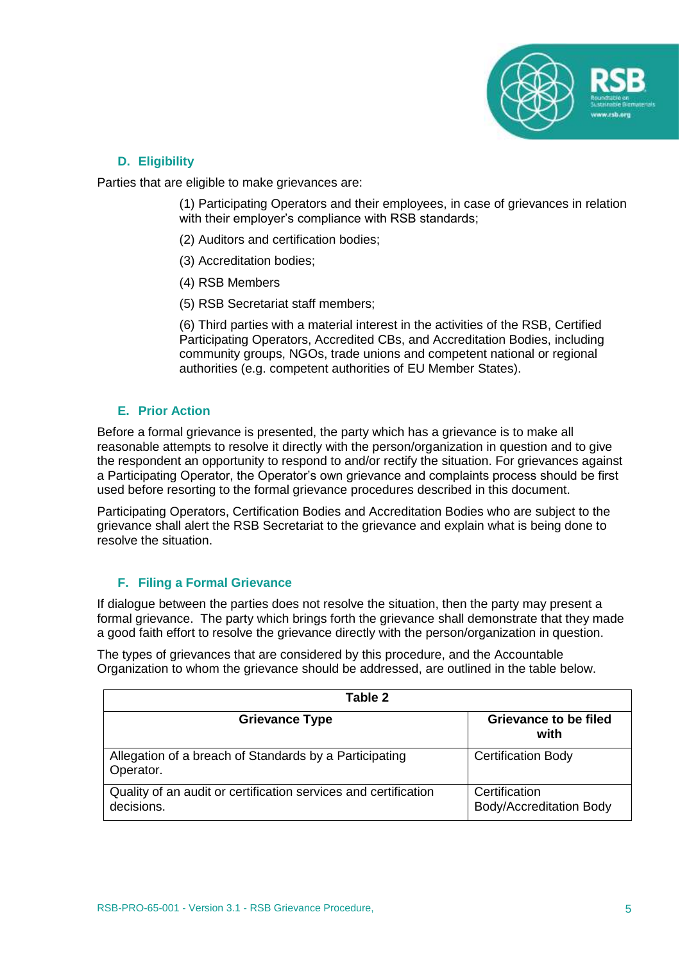

# **D. Eligibility**

<span id="page-5-0"></span>Parties that are eligible to make grievances are:

(1) Participating Operators and their employees, in case of grievances in relation with their employer's compliance with RSB standards;

- (2) Auditors and certification bodies;
- (3) Accreditation bodies;
- (4) RSB Members
- (5) RSB Secretariat staff members;

(6) Third parties with a material interest in the activities of the RSB, Certified Participating Operators, Accredited CBs, and Accreditation Bodies, including community groups, NGOs, trade unions and competent national or regional authorities (e.g. competent authorities of EU Member States).

### <span id="page-5-1"></span>**E. Prior Action**

Before a formal grievance is presented, the party which has a grievance is to make all reasonable attempts to resolve it directly with the person/organization in question and to give the respondent an opportunity to respond to and/or rectify the situation. For grievances against a Participating Operator, the Operator's own grievance and complaints process should be first used before resorting to the formal grievance procedures described in this document.

Participating Operators, Certification Bodies and Accreditation Bodies who are subject to the grievance shall alert the RSB Secretariat to the grievance and explain what is being done to resolve the situation.

# **F. Filing a Formal Grievance**

<span id="page-5-2"></span>If dialogue between the parties does not resolve the situation, then the party may present a formal grievance. The party which brings forth the grievance shall demonstrate that they made a good faith effort to resolve the grievance directly with the person/organization in question.

The types of grievances that are considered by this procedure, and the Accountable Organization to whom the grievance should be addressed, are outlined in the table below.

| Table 2                                                                       |                                                 |  |
|-------------------------------------------------------------------------------|-------------------------------------------------|--|
| <b>Grievance Type</b>                                                         | <b>Grievance to be filed</b><br>with            |  |
| Allegation of a breach of Standards by a Participating<br>Operator.           | <b>Certification Body</b>                       |  |
| Quality of an audit or certification services and certification<br>decisions. | Certification<br><b>Body/Accreditation Body</b> |  |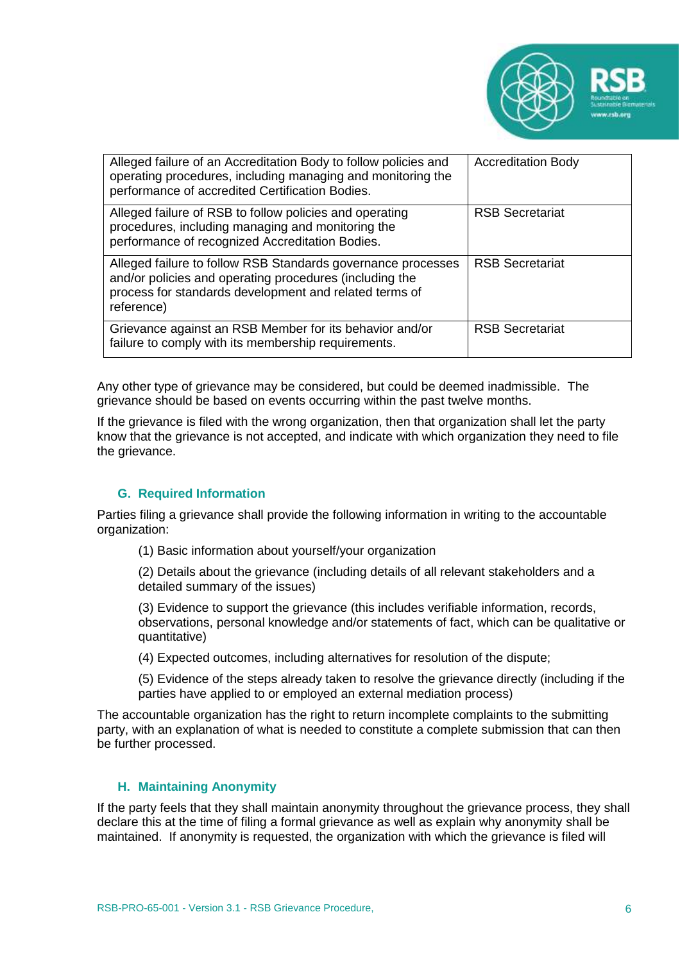

| Alleged failure of an Accreditation Body to follow policies and<br>operating procedures, including managing and monitoring the<br>performance of accredited Certification Bodies.               | <b>Accreditation Body</b> |
|-------------------------------------------------------------------------------------------------------------------------------------------------------------------------------------------------|---------------------------|
| Alleged failure of RSB to follow policies and operating<br>procedures, including managing and monitoring the<br>performance of recognized Accreditation Bodies.                                 | <b>RSB Secretariat</b>    |
| Alleged failure to follow RSB Standards governance processes<br>and/or policies and operating procedures (including the<br>process for standards development and related terms of<br>reference) | <b>RSB Secretariat</b>    |
| Grievance against an RSB Member for its behavior and/or<br>failure to comply with its membership requirements.                                                                                  | <b>RSB Secretariat</b>    |

Any other type of grievance may be considered, but could be deemed inadmissible. The grievance should be based on events occurring within the past twelve months.

If the grievance is filed with the wrong organization, then that organization shall let the party know that the grievance is not accepted, and indicate with which organization they need to file the grievance.

### **G. Required Information**

<span id="page-6-0"></span>Parties filing a grievance shall provide the following information in writing to the accountable organization:

(1) Basic information about yourself/your organization

(2) Details about the grievance (including details of all relevant stakeholders and a detailed summary of the issues)

(3) Evidence to support the grievance (this includes verifiable information, records, observations, personal knowledge and/or statements of fact, which can be qualitative or quantitative)

(4) Expected outcomes, including alternatives for resolution of the dispute;

(5) Evidence of the steps already taken to resolve the grievance directly (including if the parties have applied to or employed an external mediation process)

The accountable organization has the right to return incomplete complaints to the submitting party, with an explanation of what is needed to constitute a complete submission that can then be further processed.

### <span id="page-6-1"></span>**H. Maintaining Anonymity**

If the party feels that they shall maintain anonymity throughout the grievance process, they shall declare this at the time of filing a formal grievance as well as explain why anonymity shall be maintained. If anonymity is requested, the organization with which the grievance is filed will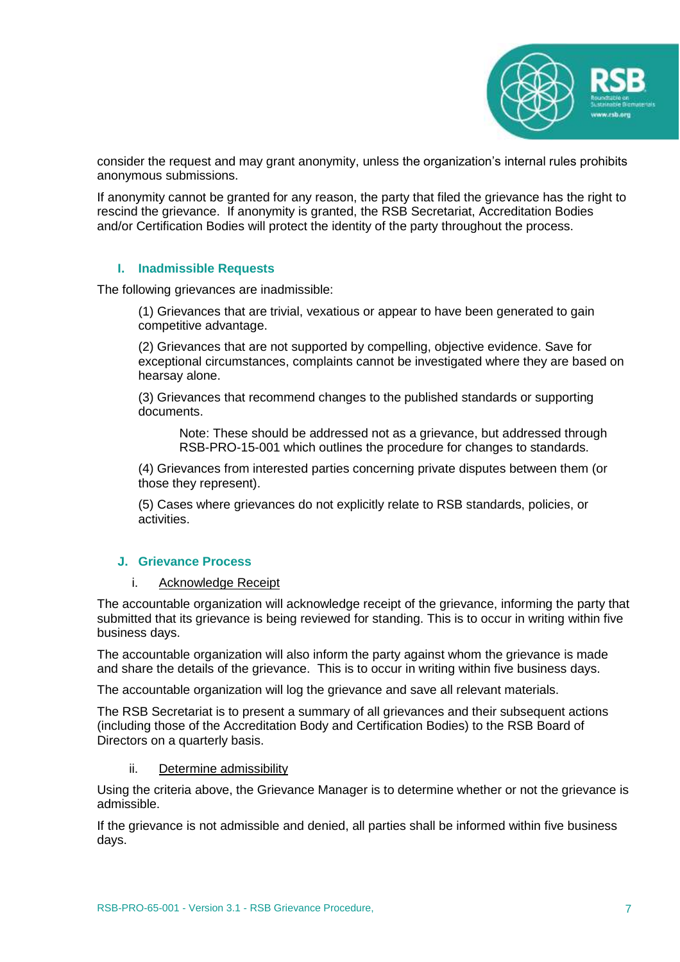

consider the request and may grant anonymity, unless the organization's internal rules prohibits anonymous submissions.

If anonymity cannot be granted for any reason, the party that filed the grievance has the right to rescind the grievance. If anonymity is granted, the RSB Secretariat, Accreditation Bodies and/or Certification Bodies will protect the identity of the party throughout the process.

### **I. Inadmissible Requests**

<span id="page-7-0"></span>The following grievances are inadmissible:

(1) Grievances that are trivial, vexatious or appear to have been generated to gain competitive advantage.

(2) Grievances that are not supported by compelling, objective evidence. Save for exceptional circumstances, complaints cannot be investigated where they are based on hearsay alone.

(3) Grievances that recommend changes to the published standards or supporting documents.

Note: These should be addressed not as a grievance, but addressed through RSB-PRO-15-001 which outlines the procedure for changes to standards.

(4) Grievances from interested parties concerning private disputes between them (or those they represent).

(5) Cases where grievances do not explicitly relate to RSB standards, policies, or activities.

### <span id="page-7-2"></span><span id="page-7-1"></span>**J. Grievance Process**

#### i. Acknowledge Receipt

The accountable organization will acknowledge receipt of the grievance, informing the party that submitted that its grievance is being reviewed for standing. This is to occur in writing within five business days.

The accountable organization will also inform the party against whom the grievance is made and share the details of the grievance. This is to occur in writing within five business days.

The accountable organization will log the grievance and save all relevant materials.

The RSB Secretariat is to present a summary of all grievances and their subsequent actions (including those of the Accreditation Body and Certification Bodies) to the RSB Board of Directors on a quarterly basis.

#### ii. Determine admissibility

<span id="page-7-3"></span>Using the criteria above, the Grievance Manager is to determine whether or not the grievance is admissible.

If the grievance is not admissible and denied, all parties shall be informed within five business days.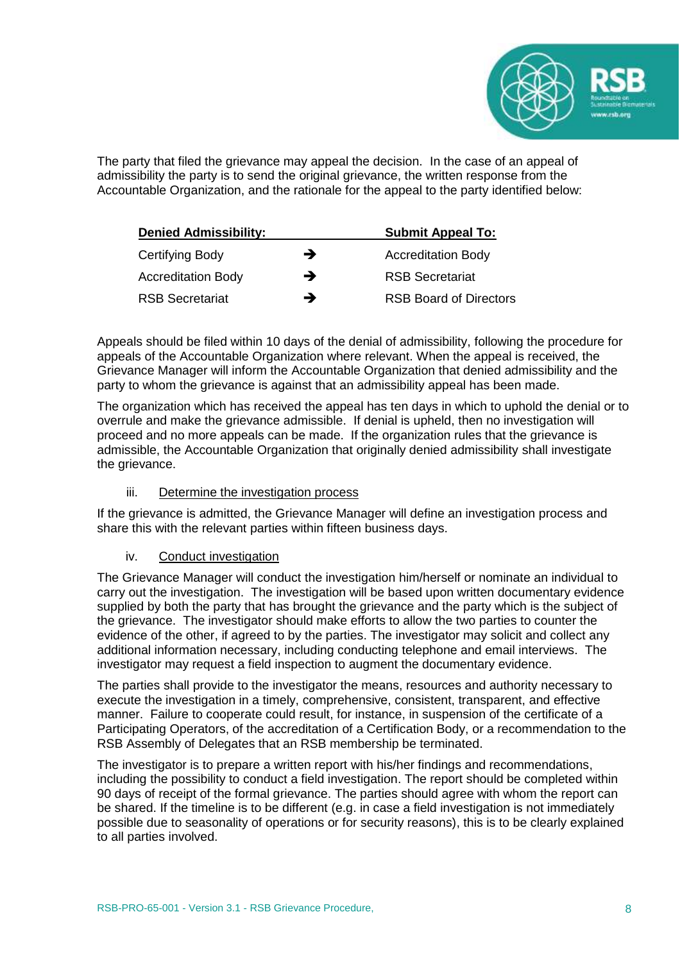

The party that filed the grievance may appeal the decision. In the case of an appeal of admissibility the party is to send the original grievance, the written response from the Accountable Organization, and the rationale for the appeal to the party identified below:

| <b>Denied Admissibility:</b> |   | <b>Submit Appeal To:</b>      |
|------------------------------|---|-------------------------------|
| Certifying Body              | → | <b>Accreditation Body</b>     |
| <b>Accreditation Body</b>    | → | <b>RSB Secretariat</b>        |
| <b>RSB Secretariat</b>       | → | <b>RSB Board of Directors</b> |

Appeals should be filed within 10 days of the denial of admissibility, following the procedure for appeals of the Accountable Organization where relevant. When the appeal is received, the Grievance Manager will inform the Accountable Organization that denied admissibility and the party to whom the grievance is against that an admissibility appeal has been made.

The organization which has received the appeal has ten days in which to uphold the denial or to overrule and make the grievance admissible. If denial is upheld, then no investigation will proceed and no more appeals can be made. If the organization rules that the grievance is admissible, the Accountable Organization that originally denied admissibility shall investigate the grievance.

# iii. Determine the investigation process

<span id="page-8-0"></span>If the grievance is admitted, the Grievance Manager will define an investigation process and share this with the relevant parties within fifteen business days.

### iv. Conduct investigation

<span id="page-8-1"></span>The Grievance Manager will conduct the investigation him/herself or nominate an individual to carry out the investigation. The investigation will be based upon written documentary evidence supplied by both the party that has brought the grievance and the party which is the subject of the grievance. The investigator should make efforts to allow the two parties to counter the evidence of the other, if agreed to by the parties. The investigator may solicit and collect any additional information necessary, including conducting telephone and email interviews. The investigator may request a field inspection to augment the documentary evidence.

The parties shall provide to the investigator the means, resources and authority necessary to execute the investigation in a timely, comprehensive, consistent, transparent, and effective manner. Failure to cooperate could result, for instance, in suspension of the certificate of a Participating Operators, of the accreditation of a Certification Body, or a recommendation to the RSB Assembly of Delegates that an RSB membership be terminated.

The investigator is to prepare a written report with his/her findings and recommendations, including the possibility to conduct a field investigation. The report should be completed within 90 days of receipt of the formal grievance. The parties should agree with whom the report can be shared. If the timeline is to be different (e.g. in case a field investigation is not immediately possible due to seasonality of operations or for security reasons), this is to be clearly explained to all parties involved.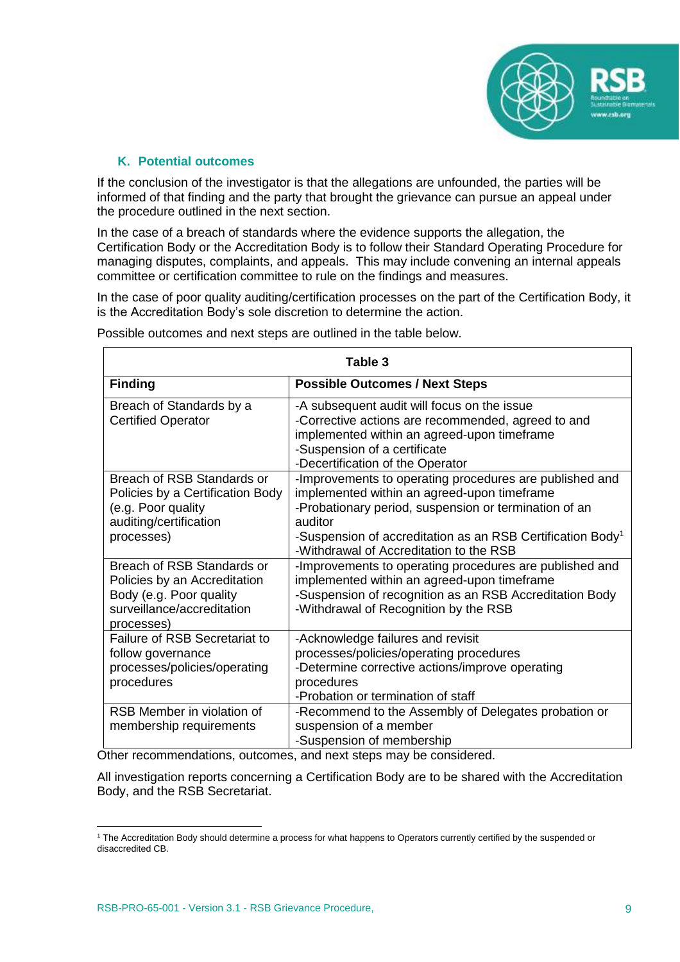

### **K. Potential outcomes**

<span id="page-9-0"></span>If the conclusion of the investigator is that the allegations are unfounded, the parties will be informed of that finding and the party that brought the grievance can pursue an appeal under the procedure outlined in the next section.

In the case of a breach of standards where the evidence supports the allegation, the Certification Body or the Accreditation Body is to follow their Standard Operating Procedure for managing disputes, complaints, and appeals. This may include convening an internal appeals committee or certification committee to rule on the findings and measures.

In the case of poor quality auditing/certification processes on the part of the Certification Body, it is the Accreditation Body's sole discretion to determine the action.

| Table 3                                                                                                                           |                                                                                                                                                                                                                                                                                                 |  |  |  |
|-----------------------------------------------------------------------------------------------------------------------------------|-------------------------------------------------------------------------------------------------------------------------------------------------------------------------------------------------------------------------------------------------------------------------------------------------|--|--|--|
| <b>Finding</b>                                                                                                                    | <b>Possible Outcomes / Next Steps</b>                                                                                                                                                                                                                                                           |  |  |  |
| Breach of Standards by a<br><b>Certified Operator</b>                                                                             | -A subsequent audit will focus on the issue<br>-Corrective actions are recommended, agreed to and<br>implemented within an agreed-upon timeframe<br>-Suspension of a certificate<br>-Decertification of the Operator                                                                            |  |  |  |
| Breach of RSB Standards or<br>Policies by a Certification Body<br>(e.g. Poor quality<br>auditing/certification<br>processes)      | -Improvements to operating procedures are published and<br>implemented within an agreed-upon timeframe<br>-Probationary period, suspension or termination of an<br>auditor<br>-Suspension of accreditation as an RSB Certification Body <sup>1</sup><br>-Withdrawal of Accreditation to the RSB |  |  |  |
| Breach of RSB Standards or<br>Policies by an Accreditation<br>Body (e.g. Poor quality<br>surveillance/accreditation<br>processes) | -Improvements to operating procedures are published and<br>implemented within an agreed-upon timeframe<br>-Suspension of recognition as an RSB Accreditation Body<br>-Withdrawal of Recognition by the RSB                                                                                      |  |  |  |
| <b>Failure of RSB Secretariat to</b><br>follow governance<br>processes/policies/operating<br>procedures                           | -Acknowledge failures and revisit<br>processes/policies/operating procedures<br>-Determine corrective actions/improve operating<br>procedures<br>-Probation or termination of staff                                                                                                             |  |  |  |
| RSB Member in violation of<br>membership requirements<br>$-1 - 12$                                                                | -Recommend to the Assembly of Delegates probation or<br>suspension of a member<br>-Suspension of membership<br>$\sim 2$ all $\sim 10$ and $\sim 10$                                                                                                                                             |  |  |  |

Possible outcomes and next steps are outlined in the table below.

Other recommendations, outcomes, and next steps may be considered.

All investigation reports concerning a Certification Body are to be shared with the Accreditation Body, and the RSB Secretariat.

 $\overline{a}$ 

<sup>1</sup> The Accreditation Body should determine a process for what happens to Operators currently certified by the suspended or disaccredited CB.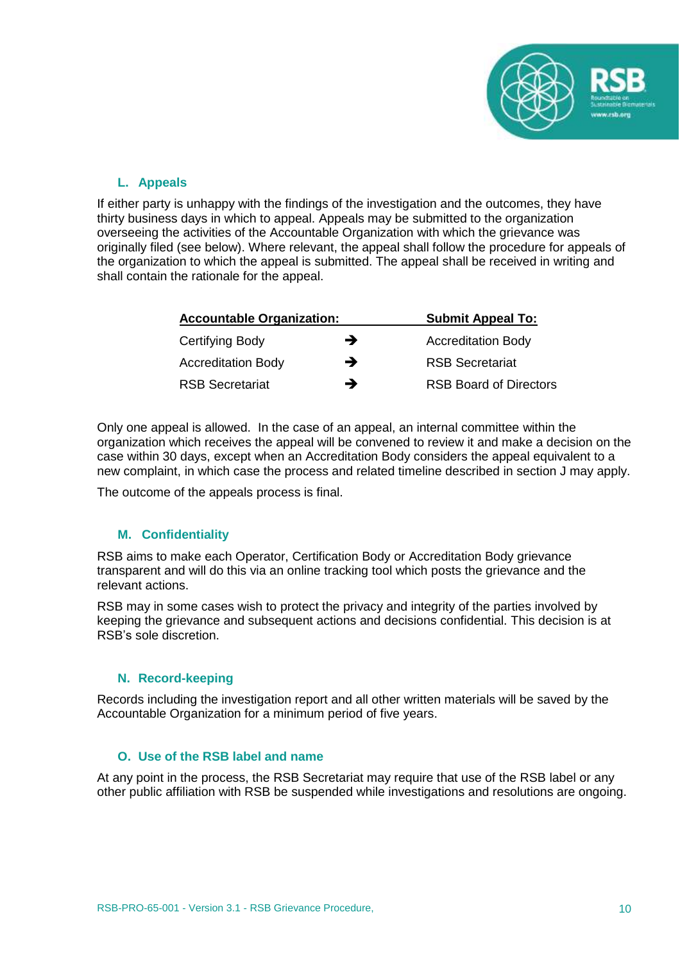

# <span id="page-10-0"></span>**L. Appeals**

If either party is unhappy with the findings of the investigation and the outcomes, they have thirty business days in which to appeal. Appeals may be submitted to the organization overseeing the activities of the Accountable Organization with which the grievance was originally filed (see below). Where relevant, the appeal shall follow the procedure for appeals of the organization to which the appeal is submitted. The appeal shall be received in writing and shall contain the rationale for the appeal.

| <b>Accountable Organization:</b> | <b>Submit Appeal To:</b> |                               |
|----------------------------------|--------------------------|-------------------------------|
| Certifying Body                  | →                        | <b>Accreditation Body</b>     |
| <b>Accreditation Body</b>        | →                        | <b>RSB Secretariat</b>        |
| <b>RSB Secretariat</b>           | →                        | <b>RSB Board of Directors</b> |

Only one appeal is allowed. In the case of an appeal, an internal committee within the organization which receives the appeal will be convened to review it and make a decision on the case within 30 days, except when an Accreditation Body considers the appeal equivalent to a new complaint, in which case the process and related timeline described in section J may apply.

The outcome of the appeals process is final.

# <span id="page-10-1"></span>**M. Confidentiality**

RSB aims to make each Operator, Certification Body or Accreditation Body grievance transparent and will do this via an online tracking tool which posts the grievance and the relevant actions.

RSB may in some cases wish to protect the privacy and integrity of the parties involved by keeping the grievance and subsequent actions and decisions confidential. This decision is at RSB's sole discretion.

### **N. Record-keeping**

<span id="page-10-2"></span>Records including the investigation report and all other written materials will be saved by the Accountable Organization for a minimum period of five years.

### **O. Use of the RSB label and name**

<span id="page-10-3"></span>At any point in the process, the RSB Secretariat may require that use of the RSB label or any other public affiliation with RSB be suspended while investigations and resolutions are ongoing.